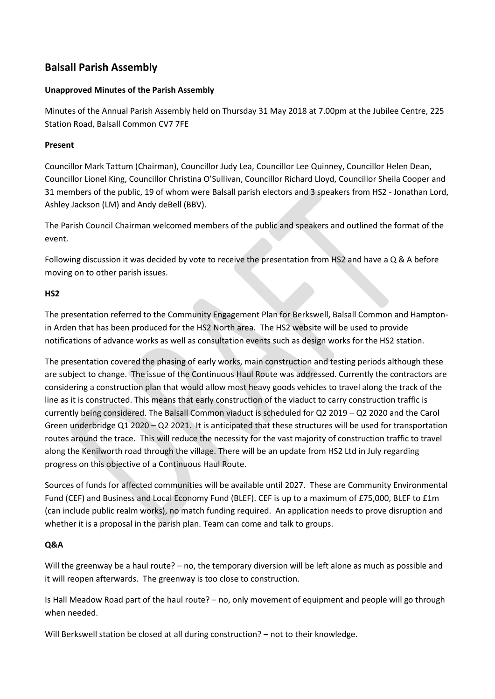# **Balsall Parish Assembly**

### **Unapproved Minutes of the Parish Assembly**

Minutes of the Annual Parish Assembly held on Thursday 31 May 2018 at 7.00pm at the Jubilee Centre, 225 Station Road, Balsall Common CV7 7FE

## **Present**

Councillor Mark Tattum (Chairman), Councillor Judy Lea, Councillor Lee Quinney, Councillor Helen Dean, Councillor Lionel King, Councillor Christina O'Sullivan, Councillor Richard Lloyd, Councillor Sheila Cooper and 31 members of the public, 19 of whom were Balsall parish electors and 3 speakers from HS2 - Jonathan Lord, Ashley Jackson (LM) and Andy deBell (BBV).

The Parish Council Chairman welcomed members of the public and speakers and outlined the format of the event.

Following discussion it was decided by vote to receive the presentation from HS2 and have a Q & A before moving on to other parish issues.

#### **HS2**

The presentation referred to the Community Engagement Plan for Berkswell, Balsall Common and Hamptonin Arden that has been produced for the HS2 North area. The HS2 website will be used to provide notifications of advance works as well as consultation events such as design works for the HS2 station.

The presentation covered the phasing of early works, main construction and testing periods although these are subject to change. The issue of the Continuous Haul Route was addressed. Currently the contractors are considering a construction plan that would allow most heavy goods vehicles to travel along the track of the line as it is constructed. This means that early construction of the viaduct to carry construction traffic is currently being considered. The Balsall Common viaduct is scheduled for Q2 2019 – Q2 2020 and the Carol Green underbridge Q1 2020 – Q2 2021. It is anticipated that these structures will be used for transportation routes around the trace. This will reduce the necessity for the vast majority of construction traffic to travel along the Kenilworth road through the village. There will be an update from HS2 Ltd in July regarding progress on this objective of a Continuous Haul Route.

Sources of funds for affected communities will be available until 2027. These are Community Environmental Fund (CEF) and Business and Local Economy Fund (BLEF). CEF is up to a maximum of £75,000, BLEF to £1m (can include public realm works), no match funding required. An application needs to prove disruption and whether it is a proposal in the parish plan. Team can come and talk to groups.

## **Q&A**

Will the greenway be a haul route? – no, the temporary diversion will be left alone as much as possible and it will reopen afterwards. The greenway is too close to construction.

Is Hall Meadow Road part of the haul route? – no, only movement of equipment and people will go through when needed.

Will Berkswell station be closed at all during construction? – not to their knowledge.